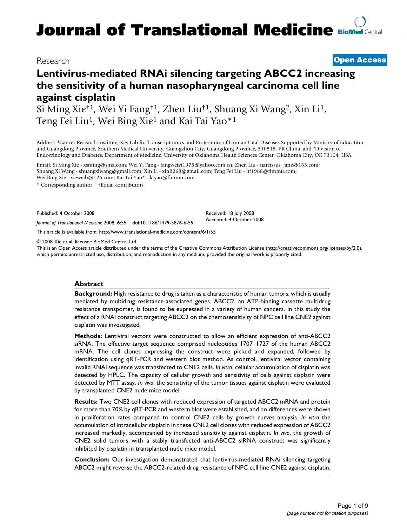# **Journal of Translational Medicine [BioMed](http://www.biomedcentral.com/) Central**

### Research **[Open Access](http://www.biomedcentral.com/info/about/charter/)**

## **Lentivirus-mediated RNAi silencing targeting ABCC2 increasing the sensitivity of a human nasopharyngeal carcinoma cell line against cisplatin**

Si Ming Xie†1, Wei Yi Fang†1, Zhen Liu†1, Shuang Xi Wang2, Xin Li1, Teng Fei Liu<sup>1</sup>, Wei Bing Xie<sup>1</sup> and Kai Tai Yao<sup>\*1</sup>

Address: 1Cancer Research Institute, Key Lab for Transcriptomics and Proteomics of Human Fatal Diseases Supported by Ministry of Education and Guangdong Province, Southern Medical University, Guangzhou City, Guangdong Province, 510515, PR China and 2Division of Endocrinology and Diabetes, Department of Medicine, University of Oklahoma Health Sciences Center, Oklahoma City, OK 73104, USA

Email: Si Ming Xie - xsming@sina.com; Wei Yi Fang - fangweiyi1975@yahoo.com.cn; Zhen Liu - narcissus\_jane@163.com; Shuang Xi Wang - shuangxiwang@gmail.com; Xin Li - xinli268@gmail.com; Teng Fei Liu - ltf1968@fimmu.com; Wei Bing Xie - xieweib@126.com; Kai Tai Yao\* - ktyao@fimmu.com

\* Corresponding author †Equal contributors

Published: 4 October 2008

*Journal of Translational Medicine* 2008, **6**:55 doi:10.1186/1479-5876-6-55

[This article is available from: http://www.translational-medicine.com/content/6/1/55](http://www.translational-medicine.com/content/6/1/55)

© 2008 Xie et al; licensee BioMed Central Ltd.

This is an Open Access article distributed under the terms of the Creative Commons Attribution License [\(http://creativecommons.org/licenses/by/2.0\)](http://creativecommons.org/licenses/by/2.0), which permits unrestricted use, distribution, and reproduction in any medium, provided the original work is properly cited.

Received: 18 July 2008 Accepted: 4 October 2008

#### **Abstract**

**Background:** High resistance to drug is taken as a characteristic of human tumors, which is usually mediated by multidrug resistance-associated genes. ABCC2, an ATP-binding cassette multidrug resistance transporter, is found to be expressed in a variety of human cancers. In this study the effect of a RNAi construct targeting ABCC2 on the chemosensitivity of NPC cell line CNE2 against cisplatin was investigated.

**Methods:** Lentiviral vectors were constructed to allow an efficient expression of anti-ABCC2 siRNA. The effective target sequence comprised nucleotides 1707–1727 of the human ABCC2 mRNA. The cell clones expressing the construct were picked and expanded, followed by identification using qRT-PCR and western blot method. As control, lentiviral vector containing invalid RNAi sequence was transfected to CNE2 cells. *In vitro*, cellular accumulation of cisplatin was detected by HPLC. The capacity of cellular growth and sensitivity of cells against cisplatin were detected by MTT assay. *In vivo*, the sensitivity of the tumor tissues against cisplatin were evaluated by transplanted CNE2 nude mice model.

**Results:** Two CNE2 cell clones with reduced expression of targeted ABCC2 mRNA and protein for more than 70% by qRT-PCR and western blot were established, and no differences were shown in proliferation rates compared to control CNE2 cells by growth curves analysis. *In vitro* the accumulation of intracellular cisplatin in these CNE2 cell clones with reduced expression of ABCC2 increased markedly, accompanied by increased sensitivity against cisplatin. *In vivo*, the growth of CNE2 solid tumors with a stably transfected anti-ABCC2 siRNA construct was significantly inhibited by cisplatin in transplanted nude mice model.

**Conclusion:** Our investigation demonstrated that lentivirus-mediated RNAi silencing targeting ABCC2 might reverse the ABCC2-related drug resistance of NPC cell line CNE2 against cisplatin.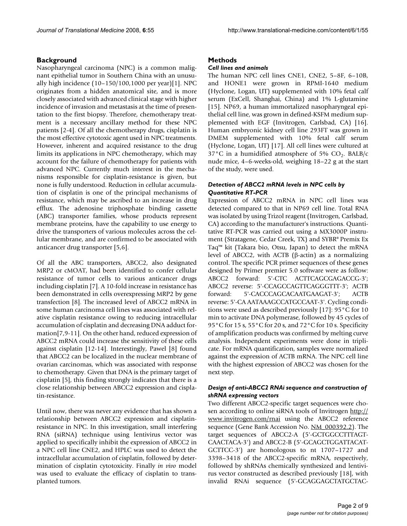#### **Background**

Nasopharyngeal carcinoma (NPC) is a common malignant epithelial tumor in Southern China with an unusually high incidence (10–150/100,1000 per year)[1]. NPC originates from a hidden anatomical site, and is more closely associated with advanced clinical stage with higher incidence of invasion and metastasis at the time of presentation to the first biopsy. Therefore, chemotherapy treatment is a necessary ancillary method for these NPC patients [2-4]. Of all the chemotherapy drugs, cisplatin is the most effective cytotoxic agent used in NPC treatments. However, inherent and acquired resistance to the drug limits its applications in NPC chemotherapy, which may account for the failure of chemotherapy for patients with advanced NPC. Currently much interest in the mechanisms responsible for cisplatin-resistance is given, but none is fully understood. Reduction in cellular accumulation of cisplatin is one of the principal mechanisms of resistance, which may be ascribed to an increase in drug efflux. The adenosine triphosphate binding cassette (ABC) transporter families, whose products represent membrane proteins, have the capability to use energy to drive the transporters of various molecules across the cellular membrane, and are confirmed to be associated with anticancer drug transporter [5,6].

Of all the ABC transporters, ABCC2, also designated MRP2 or cMOAT, had been identified to confer cellular resistance of tumor cells to various anticancer drugs including cisplatin [7]. A 10-fold increase in resistance has been demonstrated in cells overexpressing MRP2 by gene transfection [8]. The increased level of ABCC2 mRNA in some human carcinoma cell lines was associated with relative cisplatin resistance owing to reducing intracellular accumulation of cisplatin and decreasing DNA adduct formation[7,9-11]. On the other hand, reduced expression of ABCC2 mRNA could increase the sensitivity of these cells against cisplatin [12-14]. Interestingly, Pawel [8] found that ABCC2 can be localized in the nuclear membrane of ovarian carcinomas, which was associated with response to chemotherapy. Given that DNA is the primary target of cisplatin [5], this finding strongly indicates that there is a close relationship between ABCC2 expression and cisplatin-resistance.

Until now, there was never any evidence that has shown a relationship between ABCC2 expression and cisplatinresistance in NPC. In this investigation, small interfering RNA (siRNA) technique using lentivirus vector was applied to specifically inhibit the expression of ABCC2 in a NPC cell line CNE2, and HPLC was used to detect the intracellular accumulation of cisplatin, followed by determination of cisplatin cytotoxicity. Finally *in vivo* model was used to evaluate the efficacy of cisplatin to transplanted tumors.

#### **Methods**

#### *Cell lines and animals*

The human NPC cell lines CNE1, CNE2, 5–8F, 6–10B, and HONE1 were grown in RPMI-1640 medium (Hyclone, Logan, UT) supplemented with 10% fetal calf serum (ExCell, Shanghai, China) and 1% L-glutamine [15]. NP69, a human immortalized nasopharyngeal epithelial cell line, was grown in defined-KSFM medium supplemented with EGF (Invitrogen, Carlsbad, CA) [16]. Human embryonic kidney cell line 293FT was grown in DMEM supplemented with 10% fetal calf serum (Hyclone, Logan, UT) [17]. All cell lines were cultured at 37°C in a humidified atmosphere of 5%  $CO<sub>2</sub>$ . BALB/c nude mice, 4–6-weeks-old, weighing 18–22 g at the start of the study, were used.

#### *Detection of ABCC2 mRNA levels in NPC cells by Quantitative RT-PCR*

Expression of ABCC2 mRNA in NPC cell lines was detected compared to that in NP69 cell line. Total RNA was isolated by using Trizol reagent (Invitrogen, Carlsbad, CA) according to the manufacturer's instructions. Quantitative RT-PCR was carried out using a MX3000P instrument (Stratagene, Cedar Creek, TX) and SYBR® Premix Ex Taq™ kit (Takara bio, Otsu, Japan) to detect the mRNA level of ABCC2, with ACTB (β-actin) as a normalizing control. The specific PCR primer sequences of these genes designed by Primer premier 5.0 software were as follow: ABCC2 forward: 5'-CTC ACTTCAGCGAGACCG-3'; ABCC2 reverse: 5'-CCAGCCAGTTCAGGGTTT-3'; ACTB forward: 5'-CACCCAGCACAATGAAGAT-3'; ACTB reverse: 5'-CA AATAAAGCCATGCCAAT-3'. Cycling conditions were used as described previously [17]: 95°C for 10 min to activate DNA polymerase, followed by 45 cycles of 95°C for 15 s, 55°C for 20 s, and 72°C for 10 s. Specificity of amplification products was confirmed by melting curve analysis. Independent experiments were done in triplicate. For mRNA quantification, samples were normalized against the expression of ACTB mRNA. The NPC cell line with the highest expression of ABCC2 was chosen for the next step.

#### *Design of anti-ABCC2 RNAi sequence and construction of shRNA expressing vectors*

Two different ABCC2-specific target sequences were chosen according to online siRNA tools of Invitrogen [http://](http://www.invitrogen.com/rnai) [www.invitrogen.com/rnai](http://www.invitrogen.com/rnai) using the ABCC2 reference sequence (Gene Bank Accession No. [NM\\_000392.2](http://www.ncbi.nih.gov/entrez/query.fcgi?db=Nucleotide&cmd=search&term=NM_000392.2)). The target sequences of ABCC2-A (5'-GCTGGCCTTTAGT-CAACTACA-3') and ABCC2-B (5'-GCAGCTGGATTACAT-GCTTCC-3') are homologous to nt 1707–1727 and 3398–3418 of the ABCC2-specific mRNA, respectively, followed by shRNAs chemically synthesized and lentivirus vector constructed as described previously [18], with invalid RNAi sequence (5'-GCAGGAGCTATGCTAC-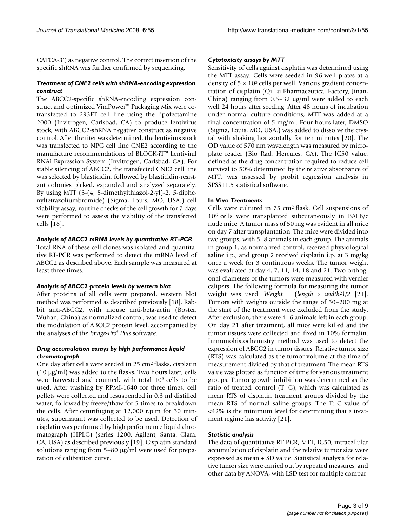CATCA-3') as negative control. The correct insertion of the specific shRNA was further confirmed by sequencing.

#### *Treatment of CNE2 cells with shRNA-encoding expression construct*

The ABCC2-specific shRNA-encoding expression construct and optimized ViraPower™ Packaging Mix were cotransfected to 293FT cell line using the lipofectamine 2000 (Invitrogen, Carlsbad, CA) to produce lentivirus stock, with ABCC2-shRNA negative construct as negative control. After the titer was determined, the lentivirus stock was transfected to NPC cell line CNE2 according to the manufacture recommendations of BLOCK-iT™ Lentiviral RNAi Expression System (Invitrogen, Carlsbad, CA). For stable silencing of ABCC2, the transfected CNE2 cell line was selected by blasticidin, followed by blasticidin-resistant colonies picked, expanded and analyzed separately. By using MTT (3-(4, 5-dimethylthiazol-2-yl)-2, 5-diphenyltetrazoliumbromide) (Sigma, Louis, MO, USA.) cell viability assay, routine checks of the cell growth for 7 days were performed to assess the viability of the transfected cells [18].

#### *Analysis of ABCC2 mRNA levels by quantitative RT-PCR*

Total RNA of these cell clones was isolated and quantitative RT-PCR was performed to detect the mRNA level of ABCC2 as described above. Each sample was measured at least three times.

#### *Analysis of ABCC2 protein levels by western blot*

After proteins of all cells were prepared, western blot method was performed as described previously [18]. Rabbit anti-ABCC2, with mouse anti-beta-actin (Boster, Wuhan, China) as normalized control, was used to detect the modulation of ABCC2 protein level, accompanied by the analyses of the *Image-Pro® Plus* software.

#### *Drug accumulation assays by high performance liquid chromatograph*

One day after cells were seeded in 25 cm2 flasks, cisplatin (10 μg/ml) was added to the flasks. Two hours later, cells were harvested and counted, with total 106 cells to be used. After washing by RPMI-1640 for three times, cell pellets were collected and resuspended in 0.3 ml distilled water, followed by freeze/thaw for 5 times to breakdown the cells. After centrifuging at 12,000 r.p.m for 30 minutes, supernatant was collected to be used. Detection of cisplatin was performed by high performance liquid chromatograph (HPLC) (series 1200, Agilent, Santa. Clara, CA, USA) as described previously [19]. Cisplatin standard solutions ranging from 5–80 μg/ml were used for preparation of calibration curve.

#### *Cytotoxicity assays by MTT*

Sensitivity of cells against cisplatin was determined using the MTT assay. Cells were seeded in 96-well plates at a density of  $5 \times 10^3$  cells per well. Various gradient concentration of cisplatin (Qi Lu Pharmaceutical Factory, Jinan, China) ranging from 0.5–32 μg/ml were added to each well 24 hours after seeding. After 48 hours of incubation under normal culture conditions, MTT was added at a final concentration of 5 mg/ml. Four hours later, DMSO (Sigma, Louis, MO, USA.) was added to dissolve the crystal with shaking horizontally for ten minutes [20]. The OD value of 570 nm wavelength was measured by microplate reader (Bio Rad, Hercules, CA). The IC50 value, defined as the drug concentration required to reduce cell survival to 50% determined by the relative absorbance of MTT, was assessed by probit regression analysis in SPSS11.5 statistical software.

#### **In Vivo** *Treatments*

Cells were cultured in 75 cm2 flask. Cell suspensions of 106 cells were transplanted subcutaneously in BALB/c nude mice. A tumor mass of 50 mg was evident in all mice on day 7 after transplantation. The mice were divided into two groups, with 5–8 animals in each group. The animals in group 1, as normalized control, received physiological saline i.p., and group 2 received cisplatin i.p. at 3 mg/kg once a week for 3 continuous weeks. The tumor weight was evaluated at day 4, 7, 11, 14, 18 and 21. Two orthogonal diameters of the tumors were measured with vernier calipers. The following formula for measuring the tumor weight was used: *Weight* = (*length* × *width*<sup>2</sup>*)/2* [21]. Tumors with weights outside the range of 50–200 mg at the start of the treatment were excluded from the study. After exclusion, there were 4–6 animals left in each group. On day 21 after treatment, all mice were killed and the tumor tissues were collected and fixed in 10% formalin. Immunohistochemistry method was used to detect the expression of ABCC2 in tumor tissues. Relative tumor size (RTS) was calculated as the tumor volume at the time of measurement divided by that of treatment. The mean RTS value was plotted as function of time for various treatment groups. Tumor growth inhibition was determined as the ratio of treated: control (T: C), which was calculated as mean RTS of cisplatin treatment groups divided by the mean RTS of normal saline groups. The T: C value of <42% is the minimum level for determining that a treatment regime has activity [21].

#### *Statistic analysis*

The data of quantitative RT-PCR, MTT, IC50, intracellular accumulation of cisplatin and the relative tumor size were expressed as mean  $\pm$  SD value. Statistical analysis for relative tumor size were carried out by repeated measures, and other data by ANOVA, with LSD test for multiple compar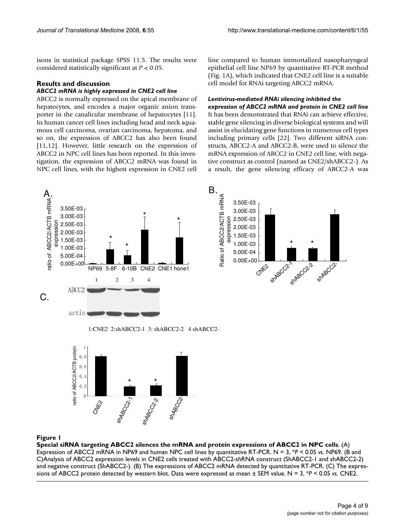isons in statistical package SPSS 11.5. The results were considered statistically significant at *P* < 0.05.

#### **Results and discussion**

#### *ABCC2 mRNA is highly expressed in CNE2 cell line*

ABCC2 is normally expressed on the apical membrane of hepatocytes, and encodes a major organic anion transporter in the canalicular membrane of hepatocytes [11]. In human cancer cell lines including head and neck squamous cell carcinoma, ovarian carcinoma, hepatoma, and so on, the expression of ABCC2 has also been found [11,12]. However, little research on the expression of ABCC2 in NPC cell lines has been reported. In this investigation, the expression of ABCC2 mRNA was found in NPC cell lines, with the highest expression in CNE2 cell line compared to human immortalized nasopharyngeal epithelial cell line NP69 by quantitative RT-PCR method (Fig. 1A), which indicated that CNE2 cell line is a suitable cell model for RNAi targeting ABCC2 mRNA.

#### *Lentivirus-mediated RNAi silencing inhibited the*

*expression of ABCC2 mRNA and protein in CNE2 cell line* It has been demonstrated that RNAi can achieve effective, stable gene silencing in diverse biological systems and will assist in elucidating gene functions in numerous cell types including primary cells [22]. Two different siRNA constructs, ABCC2-A and ABCC2-B, were used to silence the mRNA expression of ABCC2 in CNE2 cell line, with negative construct as control (named as CNE2/shABCC2-). As a result, the gene silencing efficacy of ABCC2-A was





1:CNE2 2:shABCC2-1 3: shABCC2-2 4 shABCC2-



#### Special siRNA targeting ABCC2 silences the mRNA **Figure 1** and protein expressions of ABCC2 in NPC cells

**Special siRNA targeting ABCC2 silences the mRNA and protein expressions of ABCC2 in NPC cells**. (A) Expression of ABCC2 mRNA in NP69 and human NPC cell lines by quantitative RT-PCR. N = 3, \**P* < 0.05 *vs*. NP69. (B and C)Analysis of ABCC2 expression levels in CNE2 cells treated with ABCC2-shRNA construct (ShABCC2-1 and shABCC2-2) and negative construct (ShABCC2-). (B) The expressions of ABCC2 mRNA detected by quantitative RT-PCR. (C) The expressions of ABCC2 protein detected by western blot. Data were expressed as mean ± SEM value. N = 3, \**P* < 0.05 *vs*. CNE2.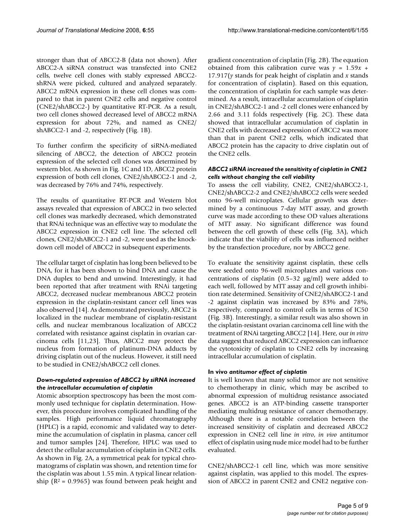stronger than that of ABCC2-B (data not shown). After ABCC2-A siRNA construct was transfected into CNE2 cells, twelve cell clones with stably expressed ABCC2 shRNA were picked, cultured and analyzed separately. ABCC2 mRNA expression in these cell clones was compared to that in parent CNE2 cells and negative control (CNE2/shABCC2-) by quantitative RT-PCR. As a result, two cell clones showed decreased level of ABCC2 mRNA expression for about 72%, and named as CNE2/ shABCC2-1 and -2, respectively (Fig. 1B).

To further confirm the specificity of siRNA-mediated silencing of ABCC2, the detection of ABCC2 protein expression of the selected cell clones was determined by western blot. As shown in Fig. 1C and 1D, ABCC2 protein expression of both cell clones, CNE2/shABCC2-1 and -2, was decreased by 76% and 74%, respectively.

The results of quantitative RT-PCR and Western blot assays revealed that expression of ABCC2 in two selected cell clones was markedly decreased, which demonstrated that RNAi technique was an effective way to modulate the ABCC2 expression in CNE2 cell line. The selected cell clones, CNE2/shABCC2-1 and -2, were used as the knockdown cell model of ABCC2 in subsequent experiments.

The cellular target of cisplatin has long been believed to be DNA, for it has been shown to bind DNA and cause the DNA duplex to bend and unwind. Interestingly, it had been reported that after treatment with RNAi targeting ABCC2, decreased nuclear membranous ABCC2 protein expression in the cisplatin-resistant cancer cell lines was also observed [14]. As demonstrated previously, ABCC2 is localized in the nuclear membrane of cisplatin-resistant cells, and nuclear membranous localization of ABCC2 correlated with resistance against cisplatin in ovarian carcinoma cells [11,23]. Thus, ABCC2 may protect the nucleus from formation of platinum-DNA adducts by driving cisplatin out of the nucleus. However, it still need to be studied in CNE2/shABCC2 cell clones.

#### *Down-regulated expression of ABCC2 by siRNA increased the intracellular accumulation of cisplatin*

Atomic absorption spectroscopy has been the most commonly used technique for cisplatin determination. However, this procedure involves complicated handling of the samples. High performance liquid chromatography (HPLC) is a rapid, economic and validated way to determine the accumulation of cisplatin in plasma, cancer cell and tumor samples [24]. Therefore, HPLC was used to detect the cellular accumulation of cisplatin in CNE2 cells. As shown in Fig. 2A, a symmetrical peak for typical chromatograms of cisplatin was shown, and retention time for the cisplatin was about 1.55 min. A typical linear relationship ( $R^2$  = 0.9965) was found between peak height and

gradient concentration of cisplatin (Fig. 2B). The equation obtained from this calibration curve was  $y = 1.59x +$ 17.917(*y* stands for peak height of cisplatin and *x* stands for concentration of cisplatin). Based on this equation, the concentration of cisplatin for each sample was determined. As a result, intracellular accumulation of cisplatin in CNE2/shABCC2-1 and -2 cell clones were enhanced by 2.66 and 3.11 folds respectively (Fig. 2C). These data showed that intracellular accumulation of cisplatin in CNE2 cells with decreased expression of ABCC2 was more than that in parent CNE2 cells, which indicated that ABCC2 protein has the capacity to drive cisplatin out of the CNE2 cells.

#### *ABCC2 siRNA increased the sensitivity of cisplatin in CNE2 cells without changing the cell viability*

To assess the cell viability, CNE2, CNE2/shABCC2-1, CNE2/shABCC2-2 and CNE2/shABCC2 cells were seeded onto 96-well microplates. Cellular growth was determined by a continuous 7-day MTT assay, and growth curve was made according to these OD values alterations of MTT assay. No significant difference was found between the cell growth of these cells (Fig. 3A), which indicate that the viability of cells was influenced neither by the transfection procedure, nor by ABCC2 gene.

To evaluate the sensitivity against cisplatin, these cells were seeded onto 96-well microplates and various concentrations of cisplatin (0.5–32 μg/ml) were added to each well, followed by MTT assay and cell growth inhibition rate determined. Sensitivity of CNE2/shABCC2-1 and -2 against cisplatin was increased by 83% and 78%, respectively, compared to control cells in terms of IC50 (Fig. 3B). Interestingly, a similar result was also shown in the cisplatin-resistant ovarian carcinoma cell line with the treatment of RNAi targeting ABCC2 [14]. Here, our *in vitro* data suggest that reduced ABCC2 expression can influence the cytotoxicity of cisplatin to CNE2 cells by increasing intracellular accumulation of cisplatin.

#### **In vivo** *antitumor effect of cisplatin*

It is well known that many solid tumor are not sensitive to chemotherapy in clinic, which may be ascribed to abnormal expression of multidrug resistance associated genes. ABCC2 is an ATP-binding cassette transporter mediating multidrug resistance of cancer chemotherapy. Although there is a notable correlation between the increased sensitivity of cisplatin and decreased ABCC2 expression in CNE2 cell line *in vitro*, *in vivo* antitumor effect of cisplatin using nude mice model had to be further evaluated.

CNE2/shABCC2-1 cell line, which was more sensitive against cisplatin, was applied to this model. The expression of ABCC2 in parent CNE2 and CNE2 negative con-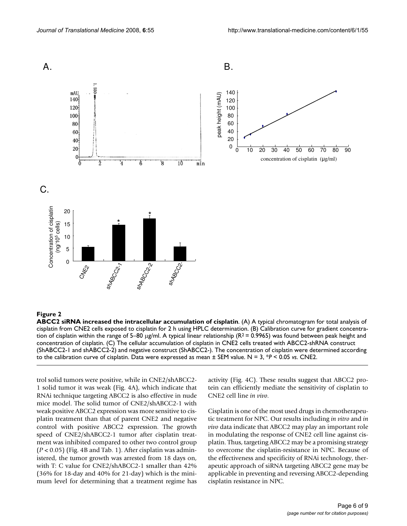

#### Figure 2

**ABCC2 siRNA increased the intracellular accumulation of cisplatin**. (A) A typical chromatogram for total analysis of cisplatin from CNE2 cells exposed to cisplatin for 2 h using HPLC determination. (B) Calibration curve for gradient concentration of cisplatin within the range of 5–80  $\mu$ g/ml. A typical linear relationship (R<sup>2</sup> = 0.9965) was found between peak height and concentration of cisplatin. (C) The cellular accumulation of cisplatin in CNE2 cells treated with ABCC2-shRNA construct (ShABCC2-1 and shABCC2-2) and negative construct (ShABCC2-). The concentration of cisplatin were determined according to the calibration curve of cisplatin. Data were expressed as mean ± SEM value. N = 3, \**P* < 0.05 *vs*. CNE2.

trol solid tumors were positive, while in CNE2/shABCC2- 1 solid tumor it was weak (Fig. 4A), which indicate that RNAi technique targeting ABCC2 is also effective in nude mice model. The solid tumor of CNE2/shABCC2-1 with weak positive ABCC2 expression was more sensitive to cisplatin treatment than that of parent CNE2 and negative control with positive ABCC2 expression. The growth speed of CNE2/shABCC2-1 tumor after cisplatin treatment was inhibited compared to other two control group (*P* < 0.05) (Fig. 4B and Tab. 1). After cisplatin was administered, the tumor growth was arrested from 18 days on, with T: C value for CNE2/shABCC2-1 smaller than 42% (36% for 18-day and 40% for 21-day) which is the minimum level for determining that a treatment regime has activity (Fig. 4C). These results suggest that ABCC2 protein can efficiently mediate the sensitivity of cisplatin to CNE2 cell line *in vivo*.

Cisplatin is one of the most used drugs in chemotherapeutic treatment for NPC. Our results including *in vitro* and *in vivo* data indicate that ABCC2 may play an important role in modulating the response of CNE2 cell line against cisplatin. Thus, targeting ABCC2 may be a promising strategy to overcome the cisplatin-resistance in NPC. Because of the effectiveness and specificity of RNAi technology, therapeutic approach of siRNA targeting ABCC2 gene may be applicable in preventing and reversing ABCC2-depending cisplatin resistance in NPC.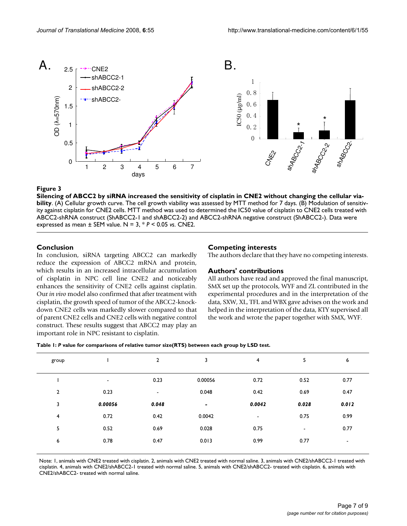

#### $\bf{Figure~3}$  the sensitivity of ciseling the sensitivity of ciseling the cellular viability of cellular viability of cellular viability of cellular viability of cellular viability of cellular viability of cellular viability o

**Silencing of ABCC2 by siRNA increased the sensitivity of cisplatin in CNE2 without changing the cellular viability**. (A) Cellular growth curve. The cell growth viability was assessed by MTT method for 7 days. (B) Modulation of sensitivity against cisplatin for CNE2 cells. MTT method was used to determined the IC50 value of cisplatin to CNE2 cells treated with ABCC2-shRNA construct (ShABCC2-1 and shABCC2-2) and ABCC2-shRNA negative construct (ShABCC2-). Data were expressed as mean ± SEM value. N = 3, \* *P* < 0.05 *vs*. CNE2.

#### **Conclusion**

In conclusion, siRNA targeting ABCC2 can markedly reduce the expression of ABCC2 mRNA and protein, which results in an increased intracellular accumulation of cisplatin in NPC cell line CNE2 and noticeably enhances the sensitivity of CNE2 cells against cisplatin. Our *in vivo* model also confirmed that after treatment with cisplatin, the growth speed of tumor of the ABCC2-knockdown CNE2 cells was markedly slower compared to that of parent CNE2 cells and CNE2 cells with negative control construct. These results suggest that ABCC2 may play an important role in NPC resistant to cisplatin.

#### **Competing interests**

The authors declare that they have no competing interests.

#### **Authors' contributions**

All authors have read and approved the final manuscript, SMX set up the protocols, WYF and ZL contributed in the experimental procedures and in the interpretation of the data, SXW, XL, TFL and WBX gave advises on the work and helped in the interpretation of the data, KTY supervised all the work and wrote the paper together with SMX, WYF.

| Table 1: P value for comparisons of relative tumor size(RTS) between each group by LSD test. |  |  |  |  |  |  |
|----------------------------------------------------------------------------------------------|--|--|--|--|--|--|
|----------------------------------------------------------------------------------------------|--|--|--|--|--|--|

| group          |         | $\overline{2}$           | 3       | $\overline{4}$           | 5     | 6              |
|----------------|---------|--------------------------|---------|--------------------------|-------|----------------|
|                | ۰       | 0.23                     | 0.00056 | 0.72                     | 0.52  | 0.77           |
| $\overline{2}$ | 0.23    | $\overline{\phantom{a}}$ | 0.048   | 0.42                     | 0.69  | 0.47           |
| 3              | 0.00056 | 0.048                    |         | 0.0042                   | 0.028 | 0.012          |
| 4              | 0.72    | 0.42                     | 0.0042  | $\overline{\phantom{a}}$ | 0.75  | 0.99           |
| 5              | 0.52    | 0.69                     | 0.028   | 0.75                     | ٠     | 0.77           |
| 6              | 0.78    | 0.47                     | 0.013   | 0.99                     | 0.77  | $\blacksquare$ |
|                |         |                          |         |                          |       |                |

Note: 1, animals with CNE2 treated with cisplatin. 2, animals with CNE2 treated with normal saline. 3, animals with CNE2/shABCC2-1 treated with cisplatin. 4, animals with CNE2/shABCC2-1 treated with normal saline. 5, animals with CNE2/shABCC2- treated with cisplatin. 6, animals with CNE2/shABCC2- treated with normal saline.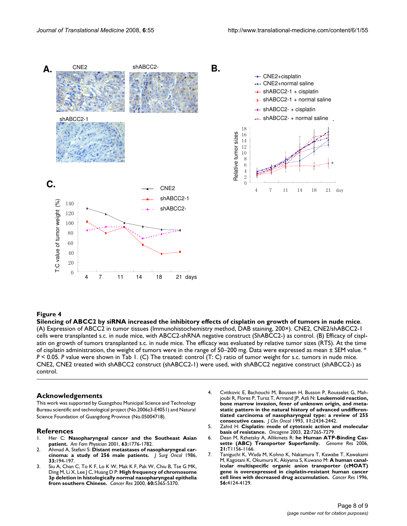

#### **Figure 4** Silencing of ABCC2 by siRNA increased the inhibitory effects of cisar and growth of tumors in number of tumors in  $\mathcal{S}$

**Silencing of ABCC2 by siRNA increased the inhibitory effects of cisplatin on growth of tumors in nude mice**. (A) Expression of ABCC2 in tumor tissues (Immunohistochemistry method, DAB staining, 200×). CNE2, CNE2/shABCC2-1 cells were transplanted s.c. in nude mice, with ABCC2-shRNA negative construct (ShABCC2-) as control. (B) Efficacy of cisplatin on growth of tumors transplanted s.c. in nude mice. The efficacy was evaluated by relative tumor sizes (RTS). At the time of cisplatin administration, the weight of tumors were in the range of 50–200 mg. Data were expressed as mean ± SEM value. \* *P* < 0.05. *P* value were shown in Tab 1. (C) The treated: control (T: C) ratio of tumor weight for s.c. tumors in nude mice. CNE2, CNE2 treated with shABCC2 construct (shABCC2-1) were used, with shABCC2 negative construct (shABCC2-) as control.

#### **Acknowledgements**

This work was supported by Guangzhou Municipal Science and Technology Bureau scientific and technological project (No.2006z3-E4051) and Natural Science Foundation of Guangdong Province (No.05004718).

#### **References**

- 1. Her C: **[Nasopharyngeal cancer and the Southeast Asian](http://www.ncbi.nlm.nih.gov/entrez/query.fcgi?cmd=Retrieve&db=PubMed&dopt=Abstract&list_uids=11352289) [patient.](http://www.ncbi.nlm.nih.gov/entrez/query.fcgi?cmd=Retrieve&db=PubMed&dopt=Abstract&list_uids=11352289)** *Am Fam Physician* 2001, **63:**1776-1782.
- 2. Ahmad A, Stefani S: **[Distant metastases of nasopharyngeal car](http://www.ncbi.nlm.nih.gov/entrez/query.fcgi?cmd=Retrieve&db=PubMed&dopt=Abstract&list_uids=3773537)[cinoma: a study of 256 male patients.](http://www.ncbi.nlm.nih.gov/entrez/query.fcgi?cmd=Retrieve&db=PubMed&dopt=Abstract&list_uids=3773537)** *J Surg Oncol* 1986, **33:**194-197.
- 3. Siu A, Chan C, To K F, Lo K W, Mak K F, Pak W, Chiu B, Tse G MK, Ding M, Li X, Lee J C, Huang D P: **[High frequency of chromosome](http://www.ncbi.nlm.nih.gov/entrez/query.fcgi?cmd=Retrieve&db=PubMed&dopt=Abstract&list_uids=11034072) [3p deletion in histologically normal nasopharyngeal epithelia](http://www.ncbi.nlm.nih.gov/entrez/query.fcgi?cmd=Retrieve&db=PubMed&dopt=Abstract&list_uids=11034072) [from southern Chinese.](http://www.ncbi.nlm.nih.gov/entrez/query.fcgi?cmd=Retrieve&db=PubMed&dopt=Abstract&list_uids=11034072)** *Cancer Res* 2000, **60:**5365-5370.
- 4. Cvitkovic E, Bachouchi M, Boussen H, Busson P, Rousselet G, Mahjoubi R, Flores P, Tursz T, Armand JP, Azli N: **[Leukemoid reaction,](http://www.ncbi.nlm.nih.gov/entrez/query.fcgi?cmd=Retrieve&db=PubMed&dopt=Abstract&list_uids=8246032) bone marrow invasion, fever of unknown origin, and metastatic pattern in the natural history of advanced undifferen[tiated carcinoma of nasopharyngeal type: a review of 255](http://www.ncbi.nlm.nih.gov/entrez/query.fcgi?cmd=Retrieve&db=PubMed&dopt=Abstract&list_uids=8246032) [consecutive cases.](http://www.ncbi.nlm.nih.gov/entrez/query.fcgi?cmd=Retrieve&db=PubMed&dopt=Abstract&list_uids=8246032)** *J Clin Oncol* 1993, **11:**2434-2442.
- 5. Zahid H: **[Cisplatin: mode of cytotoxic action and molecular](http://www.ncbi.nlm.nih.gov/entrez/query.fcgi?cmd=Retrieve&db=PubMed&dopt=Abstract&list_uids=14576837) [basis of resistance.](http://www.ncbi.nlm.nih.gov/entrez/query.fcgi?cmd=Retrieve&db=PubMed&dopt=Abstract&list_uids=14576837)** *Oncogene* 2003, **22:**7265-7279.
- 6. Dean M, Rzhetsky A, Allikmets R: **he Human ATP-Binding Cassette (ABC) Transporter Superfamily.** *Genome Res* 2006, **21:**T1156-1166.
- 7. Taniguchi K, Wada M, Kohno K, Nakamura T, Kawabe T, Kawakami M, Kagotani K, Okumura K, Akiyama S, Kuwano M: **[A human canal](http://www.ncbi.nlm.nih.gov/entrez/query.fcgi?cmd=Retrieve&db=PubMed&dopt=Abstract&list_uids=8797578)icular multispecific organic anion transporter (cMOAT) [gene is overexpressed in cisplatin-resistant human cancer](http://www.ncbi.nlm.nih.gov/entrez/query.fcgi?cmd=Retrieve&db=PubMed&dopt=Abstract&list_uids=8797578) [cell lines with decreased drug accumulation.](http://www.ncbi.nlm.nih.gov/entrez/query.fcgi?cmd=Retrieve&db=PubMed&dopt=Abstract&list_uids=8797578)** *Cancer Res* 1996, **56:**4124-4129.